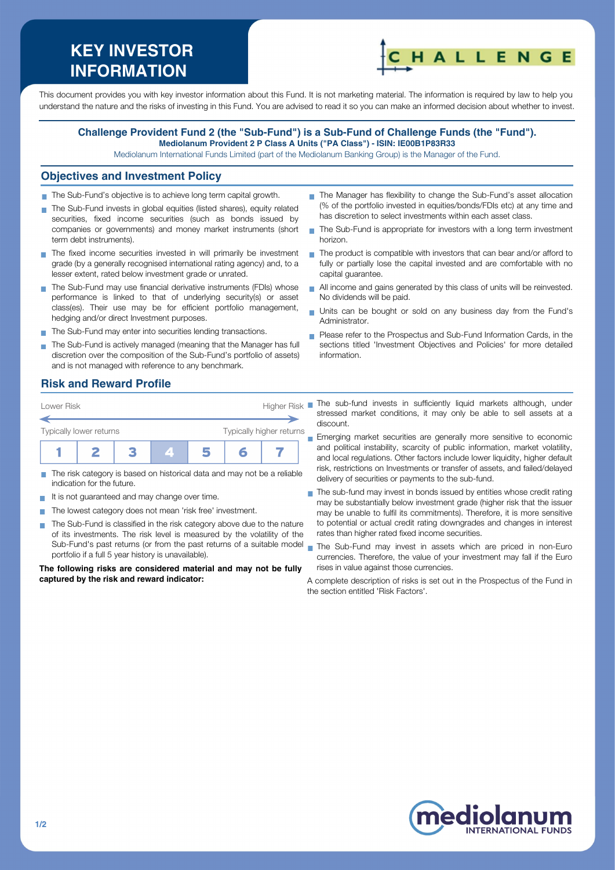# **KEY INVESTOR INFORMATION**



This document provides you with key investor information about this Fund. It is not marketing material. The information is required by law to help you understand the nature and the risks of investing in this Fund. You are advised to read it so you can make an informed decision about whether to invest.

#### **Challenge Provident Fund 2 (the "Sub-Fund") is a Sub-Fund of Challenge Funds (the "Fund"). Mediolanum Provident 2 P Class A Units ("PA Class") - ISIN: IE00B1P83R33**

Mediolanum International Funds Limited (part of the Mediolanum Banking Group) is the Manager of the Fund.

#### **Objectives and Investment Policy**

- The Sub-Fund's objective is to achieve long term capital growth.
- The Sub-Fund invests in global equities (listed shares), equity related securities, fixed income securities (such as bonds issued by companies or governments) and money market instruments (short term debt instruments).
- The fixed income securities invested in will primarily be investment grade (by a generally recognised international rating agency) and, to a lesser extent, rated below investment grade or unrated.
- The Sub-Fund may use financial derivative instruments (FDIs) whose performance is linked to that of underlying security(s) or asset class(es). Their use may be for efficient portfolio management, hedging and/or direct Investment purposes.
- The Sub-Fund may enter into securities lending transactions.
- The Sub-Fund is actively managed (meaning that the Manager has full discretion over the composition of the Sub-Fund's portfolio of assets) and is not managed with reference to any benchmark.
- The Manager has flexibility to change the Sub-Fund's asset allocation (% of the portfolio invested in equities/bonds/FDIs etc) at any time and has discretion to select investments within each asset class.
- The Sub-Fund is appropriate for investors with a long term investment horizon.
- The product is compatible with investors that can bear and/or afford to fully or partially lose the capital invested and are comfortable with no capital guarantee.
- All income and gains generated by this class of units will be reinvested. No dividends will be paid.
- Units can be bought or sold on any business day from the Fund's Administrator.
- **Please refer to the Prospectus and Sub-Fund Information Cards, in the** sections titled 'Investment Objectives and Policies' for more detailed information.

# **Risk and Reward Profile**

| Lower Risk              |  | Higher Risk |  |                          |  |  |
|-------------------------|--|-------------|--|--------------------------|--|--|
| Typically lower returns |  |             |  | Typically higher returns |  |  |
|                         |  |             |  |                          |  |  |

- The risk category is based on historical data and may not be a reliable indication for the future.
- It is not guaranteed and may change over time.
- The lowest category does not mean 'risk free' investment.  $\sim$
- The Sub-Fund is classified in the risk category above due to the nature of its investments. The risk level is measured by the volatility of the Sub-Fund's past returns (or from the past returns of a suitable model portfolio if a full 5 year history is unavailable).

**The following risks are considered material and may not be fully captured by the risk and reward indicator:**

- The sub-fund invests in sufficiently liquid markets although, under stressed market conditions, it may only be able to sell assets at a discount.
- **Emerging market securities are generally more sensitive to economic** and political instability, scarcity of public information, market volatility, and local regulations. Other factors include lower liquidity, higher default risk, restrictions on Investments or transfer of assets, and failed/delayed delivery of securities or payments to the sub-fund.
- The sub-fund may invest in bonds issued by entities whose credit rating may be substantially below investment grade (higher risk that the issuer may be unable to fulfil its commitments). Therefore, it is more sensitive to potential or actual credit rating downgrades and changes in interest rates than higher rated fixed income securities.
- The Sub-Fund may invest in assets which are priced in non-Euro currencies. Therefore, the value of your investment may fall if the Euro rises in value against those currencies.

A complete description of risks is set out in the Prospectus of the Fund in the section entitled 'Risk Factors'.